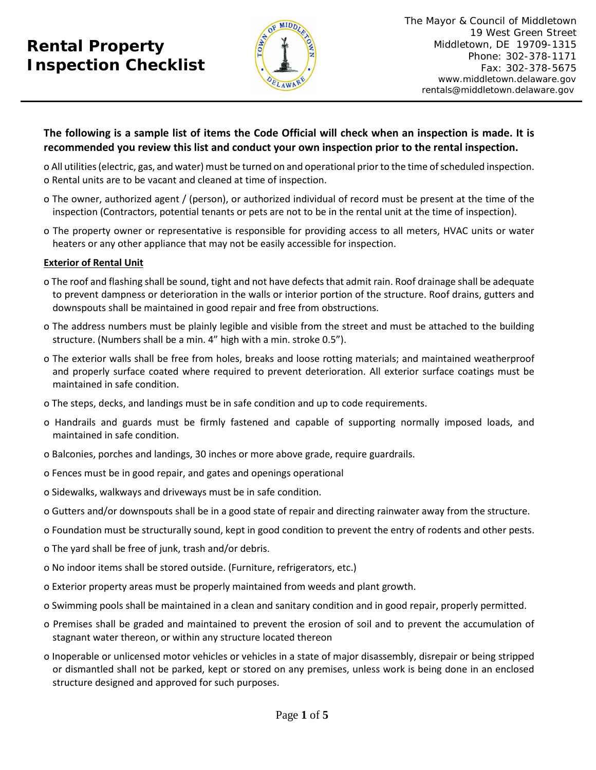# **Rental Property Inspection Checklist**



# **The following is a sample list of items the Code Official will check when an inspection is made. It is recommended you review this list and conduct your own inspection prior to the rental inspection.**

o All utilities (electric, gas, and water) must be turned on and operational prior to the time of scheduled inspection. o Rental units are to be vacant and cleaned at time of inspection.

- o The owner, authorized agent / (person), or authorized individual of record must be present at the time of the inspection (Contractors, potential tenants or pets are not to be in the rental unit at the time of inspection).
- o The property owner or representative is responsible for providing access to all meters, HVAC units or water heaters or any other appliance that may not be easily accessible for inspection.

# **Exterior of Rental Unit**

- o The roof and flashing shall be sound, tight and not have defects that admit rain. Roof drainage shall be adequate to prevent dampness or deterioration in the walls or interior portion of the structure. Roof drains, gutters and downspouts shall be maintained in good repair and free from obstructions.
- o The address numbers must be plainly legible and visible from the street and must be attached to the building structure. (Numbers shall be a min. 4" high with a min. stroke 0.5").
- o The exterior walls shall be free from holes, breaks and loose rotting materials; and maintained weatherproof and properly surface coated where required to prevent deterioration. All exterior surface coatings must be maintained in safe condition.
- o The steps, decks, and landings must be in safe condition and up to code requirements.
- o Handrails and guards must be firmly fastened and capable of supporting normally imposed loads, and maintained in safe condition.
- o Balconies, porches and landings, 30 inches or more above grade, require guardrails.
- o Fences must be in good repair, and gates and openings operational
- o Sidewalks, walkways and driveways must be in safe condition.
- o Gutters and/or downspouts shall be in a good state of repair and directing rainwater away from the structure.
- o Foundation must be structurally sound, kept in good condition to prevent the entry of rodents and other pests.
- o The yard shall be free of junk, trash and/or debris.
- o No indoor items shall be stored outside. (Furniture, refrigerators, etc.)
- o Exterior property areas must be properly maintained from weeds and plant growth.
- o Swimming pools shall be maintained in a clean and sanitary condition and in good repair, properly permitted.
- o Premises shall be graded and maintained to prevent the erosion of soil and to prevent the accumulation of stagnant water thereon, or within any structure located thereon
- o Inoperable or unlicensed motor vehicles or vehicles in a state of major disassembly, disrepair or being stripped or dismantled shall not be parked, kept or stored on any premises, unless work is being done in an enclosed structure designed and approved for such purposes.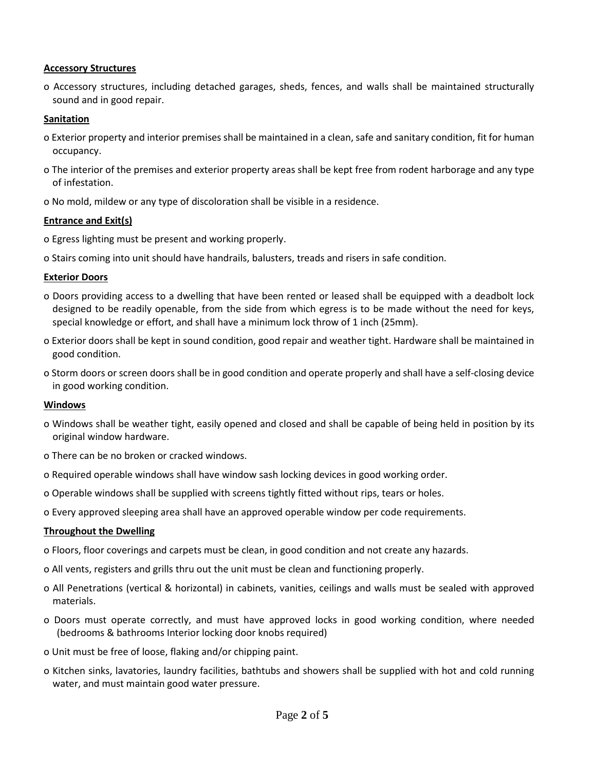#### **Accessory Structures**

o Accessory structures, including detached garages, sheds, fences, and walls shall be maintained structurally sound and in good repair.

### **Sanitation**

- o Exterior property and interior premises shall be maintained in a clean, safe and sanitary condition, fit for human occupancy.
- o The interior of the premises and exterior property areas shall be kept free from rodent harborage and any type of infestation.
- o No mold, mildew or any type of discoloration shall be visible in a residence.

#### **Entrance and Exit(s)**

- o Egress lighting must be present and working properly.
- o Stairs coming into unit should have handrails, balusters, treads and risers in safe condition.

#### **Exterior Doors**

- o Doors providing access to a dwelling that have been rented or leased shall be equipped with a deadbolt lock designed to be readily openable, from the side from which egress is to be made without the need for keys, special knowledge or effort, and shall have a minimum lock throw of 1 inch (25mm).
- o Exterior doors shall be kept in sound condition, good repair and weather tight. Hardware shall be maintained in good condition.
- o Storm doors or screen doors shall be in good condition and operate properly and shall have a self-closing device in good working condition.

#### **Windows**

- o Windows shall be weather tight, easily opened and closed and shall be capable of being held in position by its original window hardware.
- o There can be no broken or cracked windows.
- o Required operable windows shall have window sash locking devices in good working order.
- o Operable windows shall be supplied with screens tightly fitted without rips, tears or holes.
- o Every approved sleeping area shall have an approved operable window per code requirements.

#### **Throughout the Dwelling**

- o Floors, floor coverings and carpets must be clean, in good condition and not create any hazards.
- o All vents, registers and grills thru out the unit must be clean and functioning properly.
- o All Penetrations (vertical & horizontal) in cabinets, vanities, ceilings and walls must be sealed with approved materials.
- o Doors must operate correctly, and must have approved locks in good working condition, where needed (bedrooms & bathrooms Interior locking door knobs required)
- o Unit must be free of loose, flaking and/or chipping paint.
- o Kitchen sinks, lavatories, laundry facilities, bathtubs and showers shall be supplied with hot and cold running water, and must maintain good water pressure.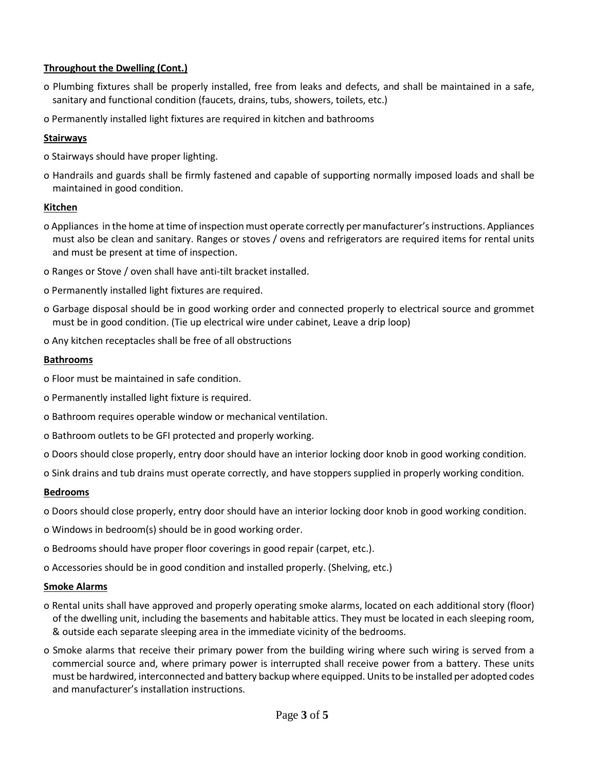## **Throughout the Dwelling (Cont.)**

- o Plumbing fixtures shall be properly installed, free from leaks and defects, and shall be maintained in a safe, sanitary and functional condition (faucets, drains, tubs, showers, toilets, etc.)
- o Permanently installed light fixtures are required in kitchen and bathrooms

### **Stairways**

- o Stairways should have proper lighting.
- o Handrails and guards shall be firmly fastened and capable of supporting normally imposed loads and shall be maintained in good condition.

#### **Kitchen**

- o Appliances in the home at time of inspection must operate correctly per manufacturer's instructions. Appliances must also be clean and sanitary. Ranges or stoves / ovens and refrigerators are required items for rental units and must be present at time of inspection.
- o Ranges or Stove / oven shall have anti-tilt bracket installed.
- o Permanently installed light fixtures are required.
- o Garbage disposal should be in good working order and connected properly to electrical source and grommet must be in good condition. (Tie up electrical wire under cabinet, Leave a drip loop)
- o Any kitchen receptacles shall be free of all obstructions

#### **Bathrooms**

- o Floor must be maintained in safe condition.
- o Permanently installed light fixture is required.
- o Bathroom requires operable window or mechanical ventilation.
- o Bathroom outlets to be GFI protected and properly working.
- o Doors should close properly, entry door should have an interior locking door knob in good working condition.
- o Sink drains and tub drains must operate correctly, and have stoppers supplied in properly working condition.

## **Bedrooms**

- o Doors should close properly, entry door should have an interior locking door knob in good working condition.
- o Windows in bedroom(s) should be in good working order.
- o Bedrooms should have proper floor coverings in good repair (carpet, etc.).
- o Accessories should be in good condition and installed properly. (Shelving, etc.)

#### **Smoke Alarms**

- o Rental units shall have approved and properly operating smoke alarms, located on each additional story (floor) of the dwelling unit, including the basements and habitable attics. They must be located in each sleeping room, & outside each separate sleeping area in the immediate vicinity of the bedrooms.
- o Smoke alarms that receive their primary power from the building wiring where such wiring is served from a commercial source and, where primary power is interrupted shall receive power from a battery. These units must be hardwired, interconnected and battery backup where equipped. Units to be installed per adopted codes and manufacturer's installation instructions.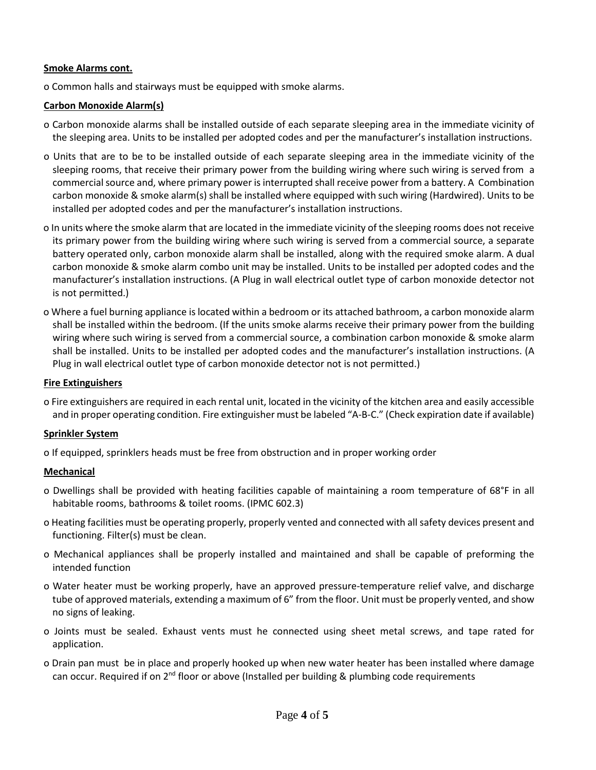#### **Smoke Alarms cont.**

o Common halls and stairways must be equipped with smoke alarms.

#### **Carbon Monoxide Alarm(s)**

- o Carbon monoxide alarms shall be installed outside of each separate sleeping area in the immediate vicinity of the sleeping area. Units to be installed per adopted codes and per the manufacturer's installation instructions.
- o Units that are to be to be installed outside of each separate sleeping area in the immediate vicinity of the sleeping rooms, that receive their primary power from the building wiring where such wiring is served from a commercialsource and, where primary power is interrupted shall receive power from a battery. A Combination carbon monoxide & smoke alarm(s) shall be installed where equipped with such wiring (Hardwired). Units to be installed per adopted codes and per the manufacturer's installation instructions.
- o In units where the smoke alarm that are located in the immediate vicinity of the sleeping rooms does not receive its primary power from the building wiring where such wiring is served from a commercial source, a separate battery operated only, carbon monoxide alarm shall be installed, along with the required smoke alarm. A dual carbon monoxide & smoke alarm combo unit may be installed. Units to be installed per adopted codes and the manufacturer's installation instructions. (A Plug in wall electrical outlet type of carbon monoxide detector not is not permitted.)
- o Where a fuel burning appliance is located within a bedroom or its attached bathroom, a carbon monoxide alarm shall be installed within the bedroom. (If the units smoke alarms receive their primary power from the building wiring where such wiring is served from a commercial source, a combination carbon monoxide & smoke alarm shall be installed. Units to be installed per adopted codes and the manufacturer's installation instructions. (A Plug in wall electrical outlet type of carbon monoxide detector not is not permitted.)

### **Fire Extinguishers**

o Fire extinguishers are required in each rental unit, located in the vicinity of the kitchen area and easily accessible and in proper operating condition. Fire extinguisher must be labeled "A-B-C." (Check expiration date if available)

#### **Sprinkler System**

o If equipped, sprinklers heads must be free from obstruction and in proper working order

## **Mechanical**

- o Dwellings shall be provided with heating facilities capable of maintaining a room temperature of 68°F in all habitable rooms, bathrooms & toilet rooms. (IPMC 602.3)
- o Heating facilities must be operating properly, properly vented and connected with all safety devices present and functioning. Filter(s) must be clean.
- o Mechanical appliances shall be properly installed and maintained and shall be capable of preforming the intended function
- o Water heater must be working properly, have an approved pressure-temperature relief valve, and discharge tube of approved materials, extending a maximum of 6" from the floor. Unit must be properly vented, and show no signs of leaking.
- o Joints must be sealed. Exhaust vents must he connected using sheet metal screws, and tape rated for application.
- o Drain pan must be in place and properly hooked up when new water heater has been installed where damage can occur. Required if on  $2^{nd}$  floor or above (Installed per building & plumbing code requirements